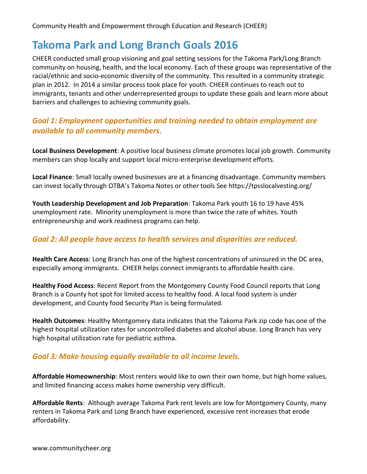# **Takoma Park and Long Branch Goals 2016**

CHEER conducted small group visioning and goal setting sessions for the Takoma Park/Long Branch community on housing, health, and the local economy. Each of these groups was representative of the racial/ethnic and socio-economic diversity of the community. This resulted in a community strategic plan in 2012. In 2014 a similar process took place for youth. CHEER continues to reach out to immigrants, tenants and other underrepresented groups to update these goals and learn more about barriers and challenges to achieving community goals.

## *Goal 1: Employment opportunities and training needed to obtain employment are available to all community members.*

**Local Business Development**: A positive local business climate promotes local job growth. Community members can shop locally and support local micro-enterprise development efforts.

**Local Finance**: Small locally owned businesses are at a financing disadvantage. Community members can invest locally through OTBA's Takoma Notes or other tools See https://tpsslocalvesting.org/

**Youth Leadership Development and Job Preparation**: Takoma Park youth 16 to 19 have 45% unemployment rate. Minority unemployment is more than twice the rate of whites. Youth entrepreneurship and work readiness programs can help.

### *Goal 2: All people have access to health services and disparities are reduced.*

**Health Care Access**: Long Branch has one of the highest concentrations of uninsured in the DC area, especially among immigrants. CHEER helps connect immigrants to affordable health care.

**Healthy Food Access**: Recent Report from the Montgomery County Food Council reports that Long Branch is a County hot spot for limited access to healthy food. A local food system is under development, and County food Security Plan is being formulated.

**Health Outcomes**: Healthy Montgomery data indicates that the Takoma Park zip code has one of the highest hospital utilization rates for uncontrolled diabetes and alcohol abuse. Long Branch has very high hospital utilization rate for pediatric asthma.

#### *Goal 3: Make housing equally available to all income levels.*

**Affordable Homeownership**: Most renters would like to own their own home, but high home values, and limited financing access makes home ownership very difficult.

**Affordable Rents**: Although average Takoma Park rent levels are low for Montgomery County, many renters in Takoma Park and Long Branch have experienced, excessive rent increases that erode affordability.